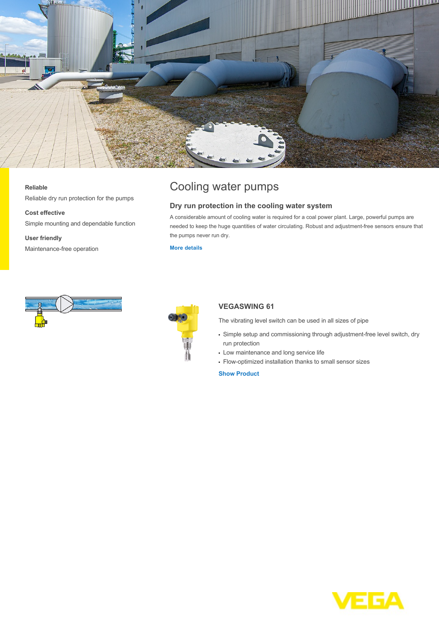

### **Reliable**

Reliable dry run protection for the pumps

#### **Cost effective**

Simple mounting and dependable function

**User friendly** Maintenance-free operation

# Cooling water pumps

## **Dry run protection in the cooling water system**

A considerable amount of cooling water is required for a coal power plant. Large, powerful pumps are needed to keep the huge quantities of water circulating. Robust and adjustment-free sensors ensure that the pumps never run dry.

**[More details](http://localhost/en-us/industries/energy/coal-power-plant/cooling-water-pumps)**





## **VEGASWING 61**

The vibrating level switch can be used in all sizes of pipe

- Simple setup and commissioning through adjustment-free level switch, dry run protection
- Low maintenance and long service life
- Flow-optimized installation thanks to small sensor sizes

**[Show Product](http://localhost/en-us/products/product-catalog/switching/vibration/vegaswing-61)**